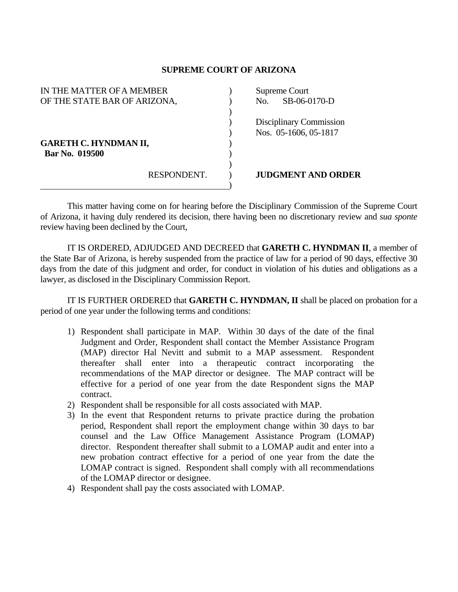## **SUPREME COURT OF ARIZONA**

| IN THE MATTER OF A MEMBER    |             |  | Supreme Court |                                |
|------------------------------|-------------|--|---------------|--------------------------------|
| OF THE STATE BAR OF ARIZONA, |             |  | No.           | SB-06-0170-D                   |
|                              |             |  |               |                                |
|                              |             |  |               | <b>Disciplinary Commission</b> |
|                              |             |  |               | Nos. 05-1606, 05-1817          |
| <b>GARETH C. HYNDMAN II,</b> |             |  |               |                                |
| Bar No. 019500               |             |  |               |                                |
|                              |             |  |               |                                |
|                              | RESPONDENT. |  |               | <b>JUDGMENT AND ORDER</b>      |
|                              |             |  |               |                                |

 This matter having come on for hearing before the Disciplinary Commission of the Supreme Court of Arizona, it having duly rendered its decision, there having been no discretionary review and *sua sponte* review having been declined by the Court,

 IT IS ORDERED, ADJUDGED AND DECREED that **GARETH C. HYNDMAN II**, a member of the State Bar of Arizona, is hereby suspended from the practice of law for a period of 90 days, effective 30 days from the date of this judgment and order, for conduct in violation of his duties and obligations as a lawyer, as disclosed in the Disciplinary Commission Report.

 IT IS FURTHER ORDERED that **GARETH C. HYNDMAN, II** shall be placed on probation for a period of one year under the following terms and conditions:

- 1) Respondent shall participate in MAP. Within 30 days of the date of the final Judgment and Order, Respondent shall contact the Member Assistance Program (MAP) director Hal Nevitt and submit to a MAP assessment. Respondent thereafter shall enter into a therapeutic contract incorporating the recommendations of the MAP director or designee. The MAP contract will be effective for a period of one year from the date Respondent signs the MAP contract.
- 2) Respondent shall be responsible for all costs associated with MAP.
- 3) In the event that Respondent returns to private practice during the probation period, Respondent shall report the employment change within 30 days to bar counsel and the Law Office Management Assistance Program (LOMAP) director. Respondent thereafter shall submit to a LOMAP audit and enter into a new probation contract effective for a period of one year from the date the LOMAP contract is signed. Respondent shall comply with all recommendations of the LOMAP director or designee.
- 4) Respondent shall pay the costs associated with LOMAP.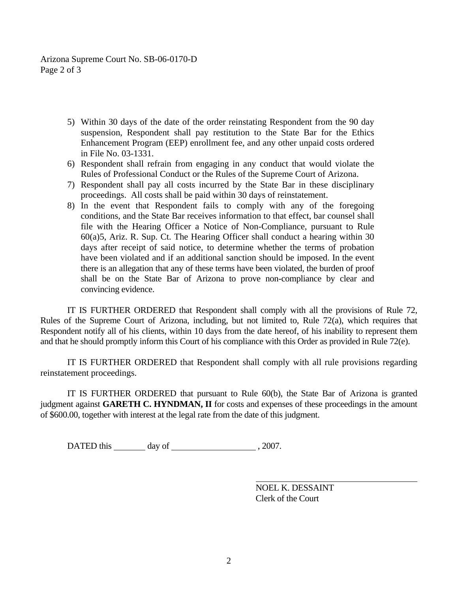Arizona Supreme Court No. SB-06-0170-D Page 2 of 3

- 5) Within 30 days of the date of the order reinstating Respondent from the 90 day suspension, Respondent shall pay restitution to the State Bar for the Ethics Enhancement Program (EEP) enrollment fee, and any other unpaid costs ordered in File No. 03-1331.
- 6) Respondent shall refrain from engaging in any conduct that would violate the Rules of Professional Conduct or the Rules of the Supreme Court of Arizona.
- 7) Respondent shall pay all costs incurred by the State Bar in these disciplinary proceedings. All costs shall be paid within 30 days of reinstatement.
- 8) In the event that Respondent fails to comply with any of the foregoing conditions, and the State Bar receives information to that effect, bar counsel shall file with the Hearing Officer a Notice of Non-Compliance, pursuant to Rule 60(a)5, Ariz. R. Sup. Ct. The Hearing Officer shall conduct a hearing within 30 days after receipt of said notice, to determine whether the terms of probation have been violated and if an additional sanction should be imposed. In the event there is an allegation that any of these terms have been violated, the burden of proof shall be on the State Bar of Arizona to prove non-compliance by clear and convincing evidence.

 IT IS FURTHER ORDERED that Respondent shall comply with all the provisions of Rule 72, Rules of the Supreme Court of Arizona, including, but not limited to, Rule 72(a), which requires that Respondent notify all of his clients, within 10 days from the date hereof, of his inability to represent them and that he should promptly inform this Court of his compliance with this Order as provided in Rule 72(e).

 IT IS FURTHER ORDERED that Respondent shall comply with all rule provisions regarding reinstatement proceedings.

 IT IS FURTHER ORDERED that pursuant to Rule 60(b), the State Bar of Arizona is granted judgment against **GARETH C. HYNDMAN, II** for costs and expenses of these proceedings in the amount of \$600.00, together with interest at the legal rate from the date of this judgment.

DATED this day of , 2007.

 NOEL K. DESSAINT Clerk of the Court